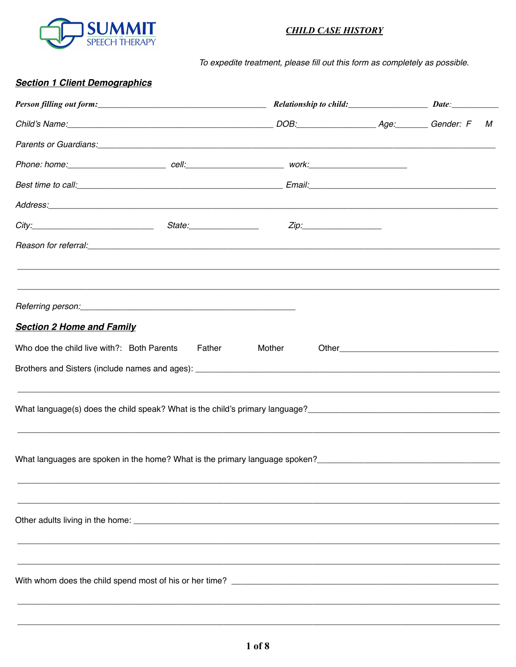

## **CHILD CASE HISTORY**

To expedite treatment, please fill out this form as completely as possible.

#### **Section 1 Client Demographics**

| Child's Name: Gender: F                                                                                                                                                                                                            |  |                                                                                   |  |  | М |
|------------------------------------------------------------------------------------------------------------------------------------------------------------------------------------------------------------------------------------|--|-----------------------------------------------------------------------------------|--|--|---|
| Parents or Guardians: entertainment of the contract of the contract of the contract of the contract of the contract of the contract of the contract of the contract of the contract of the contract of the contract of the con     |  |                                                                                   |  |  |   |
| Phone: home: _______________________________ cell:______________________________work:_________________________                                                                                                                     |  |                                                                                   |  |  |   |
|                                                                                                                                                                                                                                    |  |                                                                                   |  |  |   |
|                                                                                                                                                                                                                                    |  |                                                                                   |  |  |   |
|                                                                                                                                                                                                                                    |  | Zip:___________________                                                           |  |  |   |
|                                                                                                                                                                                                                                    |  | ,我们也不能会在这里,我们也不能会在这里,我们也不能会在这里,我们也不能会在这里,我们也不能会在这里,我们也不能会在这里,我们也不能会不能会不能会。""我们,我们 |  |  |   |
|                                                                                                                                                                                                                                    |  | ,我们也不能会有什么。""我们的人,我们也不能会有什么?""我们的人,我们也不能会有什么?""我们的人,我们也不能会有什么?""我们的人,我们也不能会有什么?"" |  |  |   |
|                                                                                                                                                                                                                                    |  |                                                                                   |  |  |   |
| <b>Section 2 Home and Family</b>                                                                                                                                                                                                   |  |                                                                                   |  |  |   |
| Who doe the child live with?: Both Parents Father                                                                                                                                                                                  |  | Mother                                                                            |  |  |   |
|                                                                                                                                                                                                                                    |  |                                                                                   |  |  |   |
|                                                                                                                                                                                                                                    |  |                                                                                   |  |  |   |
| What language(s) does the child speak? What is the child's primary language?<br>What language(s) does the child speak? What is the child's primary language?<br>What language(s) does the child speak? What is the child's primary |  |                                                                                   |  |  |   |
|                                                                                                                                                                                                                                    |  |                                                                                   |  |  |   |
|                                                                                                                                                                                                                                    |  |                                                                                   |  |  |   |
| What languages are spoken in the home? What is the primary language spoken?<br>What languages are spoken in the home? What is the primary language spoken?                                                                         |  |                                                                                   |  |  |   |
|                                                                                                                                                                                                                                    |  |                                                                                   |  |  |   |
|                                                                                                                                                                                                                                    |  |                                                                                   |  |  |   |
|                                                                                                                                                                                                                                    |  |                                                                                   |  |  |   |
|                                                                                                                                                                                                                                    |  |                                                                                   |  |  |   |
|                                                                                                                                                                                                                                    |  |                                                                                   |  |  |   |
|                                                                                                                                                                                                                                    |  |                                                                                   |  |  |   |
|                                                                                                                                                                                                                                    |  |                                                                                   |  |  |   |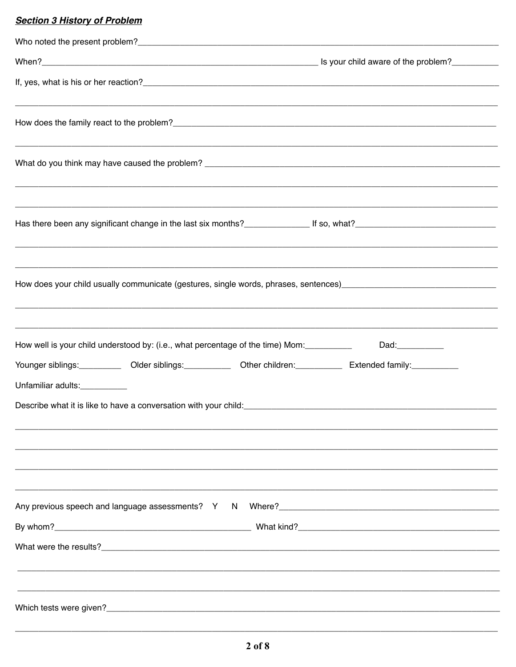## **Section 3 History of Problem**

| How does your child usually communicate (gestures, single words, phrases, sentences) [1982] [1983] How does your child usually communicate (gestures, single words, phrases, sentences)                                             |                  |
|-------------------------------------------------------------------------------------------------------------------------------------------------------------------------------------------------------------------------------------|------------------|
| How well is your child understood by: (i.e., what percentage of the time) Mom:<br>Younger siblings:____________ Older siblings:_____________ Other children:____________ Extended family:__________<br>Unfamiliar adults:__________ | Dad:____________ |
| Any previous speech and language assessments? Y N Where?<br>Many previous speech and language assessments? Y N Where?<br>Many 2020                                                                                                  |                  |
|                                                                                                                                                                                                                                     |                  |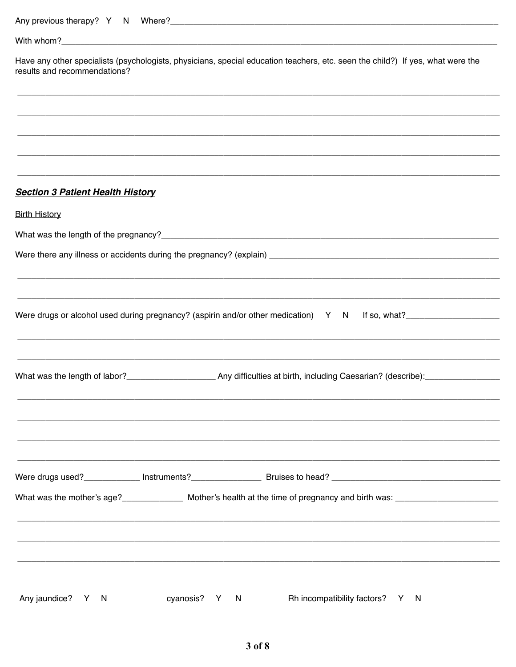| results and recommendations?            | Have any other specialists (psychologists, physicians, special education teachers, etc. seen the child?) If yes, what were the          |  |
|-----------------------------------------|-----------------------------------------------------------------------------------------------------------------------------------------|--|
|                                         |                                                                                                                                         |  |
|                                         |                                                                                                                                         |  |
|                                         |                                                                                                                                         |  |
| <b>Section 3 Patient Health History</b> |                                                                                                                                         |  |
| <b>Birth History</b>                    |                                                                                                                                         |  |
|                                         |                                                                                                                                         |  |
|                                         |                                                                                                                                         |  |
|                                         |                                                                                                                                         |  |
|                                         |                                                                                                                                         |  |
|                                         | Were drugs or alcohol used during pregnancy? (aspirin and/or other medication) Y N If so, what?                                         |  |
|                                         |                                                                                                                                         |  |
|                                         |                                                                                                                                         |  |
|                                         | What was the length of labor?_________________________Any difficulties at birth, including Caesarian? (describe):______________________ |  |
|                                         |                                                                                                                                         |  |
|                                         |                                                                                                                                         |  |
|                                         |                                                                                                                                         |  |
|                                         |                                                                                                                                         |  |
|                                         | What was the mother's age?________________ Mother's health at the time of pregnancy and birth was: ___________________________________  |  |
|                                         |                                                                                                                                         |  |
|                                         |                                                                                                                                         |  |
|                                         |                                                                                                                                         |  |
|                                         |                                                                                                                                         |  |
| Any jaundice? Y N                       | cyanosis? Y N<br>Rh incompatibility factors? Y N                                                                                        |  |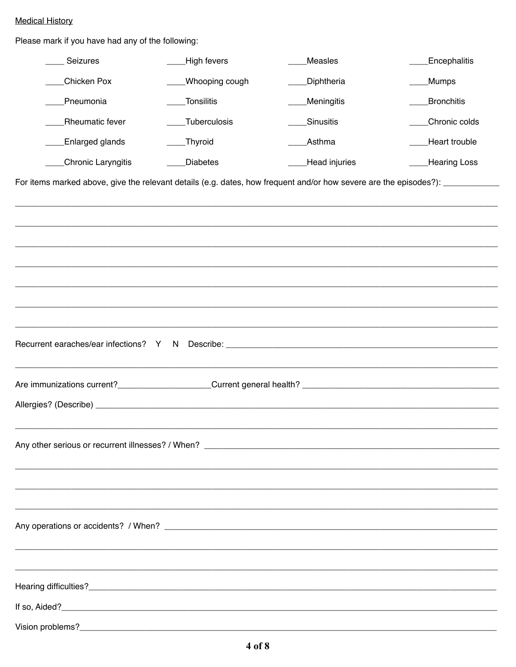## **Medical History**

Please mark if you have had any of the following:

| Seizures                                                                                                                      | High fevers     | <b>Measles</b>                                                                    | <b>Encephalitis</b> |
|-------------------------------------------------------------------------------------------------------------------------------|-----------------|-----------------------------------------------------------------------------------|---------------------|
| Chicken Pox                                                                                                                   | Whooping cough  | Diphtheria                                                                        | Mumps               |
| Pneumonia                                                                                                                     | Tonsilitis      | <b>Meningitis</b>                                                                 | Bronchitis          |
| <b>Rheumatic fever</b>                                                                                                        | Tuberculosis    | Sinusitis                                                                         | Chronic colds       |
| <b>Enlarged glands</b>                                                                                                        | _Thyroid        | Asthma                                                                            | Heart trouble       |
| Chronic Laryngitis                                                                                                            | <b>Diabetes</b> | Head injuries                                                                     | <b>Hearing Loss</b> |
| For items marked above, give the relevant details (e.g. dates, how frequent and/or how severe are the episodes?): ___________ |                 |                                                                                   |                     |
|                                                                                                                               |                 |                                                                                   |                     |
|                                                                                                                               |                 |                                                                                   |                     |
|                                                                                                                               |                 |                                                                                   |                     |
|                                                                                                                               |                 |                                                                                   |                     |
|                                                                                                                               |                 |                                                                                   |                     |
|                                                                                                                               |                 |                                                                                   |                     |
|                                                                                                                               |                 |                                                                                   |                     |
|                                                                                                                               |                 | ,一个人都是一个人的人,一个人都是一个人的人,一个人都是一个人的人,一个人都是一个人的人,一个人都是一个人的人,一个人都是一个人的人,一个人都是一个人的人,一个人 |                     |
|                                                                                                                               |                 |                                                                                   |                     |
|                                                                                                                               |                 |                                                                                   |                     |
|                                                                                                                               |                 |                                                                                   |                     |
|                                                                                                                               |                 |                                                                                   |                     |
|                                                                                                                               |                 |                                                                                   |                     |
|                                                                                                                               |                 |                                                                                   |                     |
|                                                                                                                               |                 |                                                                                   |                     |
|                                                                                                                               |                 |                                                                                   |                     |
|                                                                                                                               |                 |                                                                                   |                     |
|                                                                                                                               |                 |                                                                                   |                     |
|                                                                                                                               |                 |                                                                                   |                     |
|                                                                                                                               |                 |                                                                                   |                     |
|                                                                                                                               |                 |                                                                                   |                     |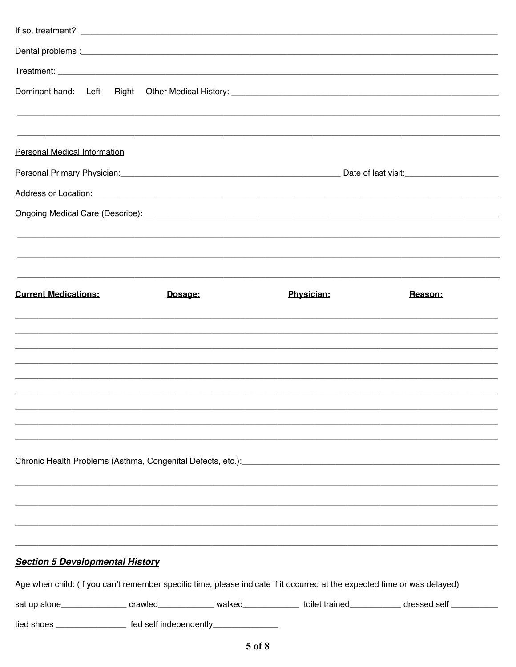| Dominant hand: Left                                                                                                       |         |            |                                                                                                                                                                                                                                      |
|---------------------------------------------------------------------------------------------------------------------------|---------|------------|--------------------------------------------------------------------------------------------------------------------------------------------------------------------------------------------------------------------------------------|
|                                                                                                                           |         |            |                                                                                                                                                                                                                                      |
| <b>Personal Medical Information</b>                                                                                       |         |            |                                                                                                                                                                                                                                      |
|                                                                                                                           |         |            |                                                                                                                                                                                                                                      |
|                                                                                                                           |         |            | Address or Location: <u>contract and contract and contract and contract and contract and contract and contract and contract and contract and contract and contract and contract and contract and contract and contract and contr</u> |
|                                                                                                                           |         |            |                                                                                                                                                                                                                                      |
|                                                                                                                           |         |            |                                                                                                                                                                                                                                      |
| <b>Current Medications:</b>                                                                                               | Dosage: | Physician: | Reason:                                                                                                                                                                                                                              |
|                                                                                                                           |         |            |                                                                                                                                                                                                                                      |
|                                                                                                                           |         |            |                                                                                                                                                                                                                                      |
|                                                                                                                           |         |            | ,我们也不能在这里的,我们也不能在这里的,我们也不能在这里的,我们也不能不能不能不能不能不能不能。""我们,我们也不能不能不能不能不能不能不能不能不能不能不能不能                                                                                                                                                    |
|                                                                                                                           |         |            |                                                                                                                                                                                                                                      |
|                                                                                                                           |         |            |                                                                                                                                                                                                                                      |
|                                                                                                                           |         |            |                                                                                                                                                                                                                                      |
|                                                                                                                           |         |            | Chronic Health Problems (Asthma, Congenital Defects, etc.): [19] Decrement Chronic Health Problems (Asthma, Congenital Defects, etc.):                                                                                               |
|                                                                                                                           |         |            |                                                                                                                                                                                                                                      |
|                                                                                                                           |         |            |                                                                                                                                                                                                                                      |
| <b>Section 5 Developmental History</b>                                                                                    |         |            |                                                                                                                                                                                                                                      |
| Age when child: (If you can't remember specific time, please indicate if it occurred at the expected time or was delayed) |         |            |                                                                                                                                                                                                                                      |
|                                                                                                                           |         |            | sat up alone_________________ crawled______________ walked_____________ toilet trained____________ dressed self ___________                                                                                                          |
| tied shoes ___________________ fed self independently________________                                                     |         |            |                                                                                                                                                                                                                                      |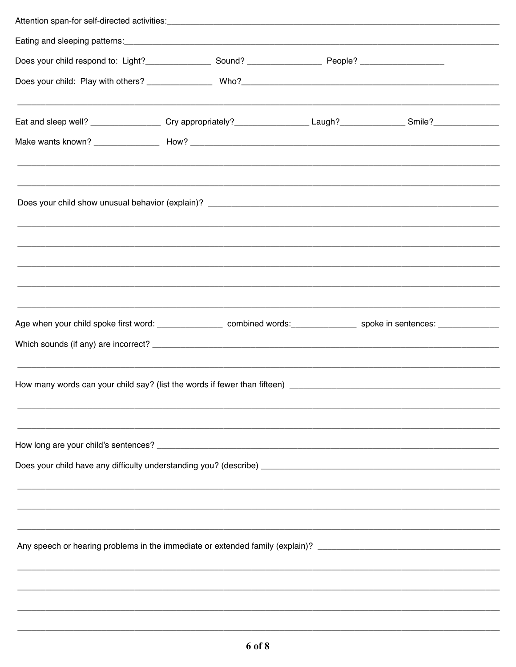| Does your child respond to: Light?_____________________Sound? __________________________People? ____________________       |  |  |  |
|----------------------------------------------------------------------------------------------------------------------------|--|--|--|
|                                                                                                                            |  |  |  |
| Eat and sleep well? ___________________ Cry appropriately?__________________Laugh?_______________Smile?______________      |  |  |  |
|                                                                                                                            |  |  |  |
|                                                                                                                            |  |  |  |
|                                                                                                                            |  |  |  |
|                                                                                                                            |  |  |  |
|                                                                                                                            |  |  |  |
|                                                                                                                            |  |  |  |
|                                                                                                                            |  |  |  |
| Age when your child spoke first word: _________________ combined words: ______________ spoke in sentences: _______________ |  |  |  |
|                                                                                                                            |  |  |  |
|                                                                                                                            |  |  |  |
|                                                                                                                            |  |  |  |
|                                                                                                                            |  |  |  |
|                                                                                                                            |  |  |  |
|                                                                                                                            |  |  |  |
|                                                                                                                            |  |  |  |
|                                                                                                                            |  |  |  |
|                                                                                                                            |  |  |  |
| Any speech or hearing problems in the immediate or extended family (explain)? ________________________________             |  |  |  |
|                                                                                                                            |  |  |  |
|                                                                                                                            |  |  |  |
|                                                                                                                            |  |  |  |
|                                                                                                                            |  |  |  |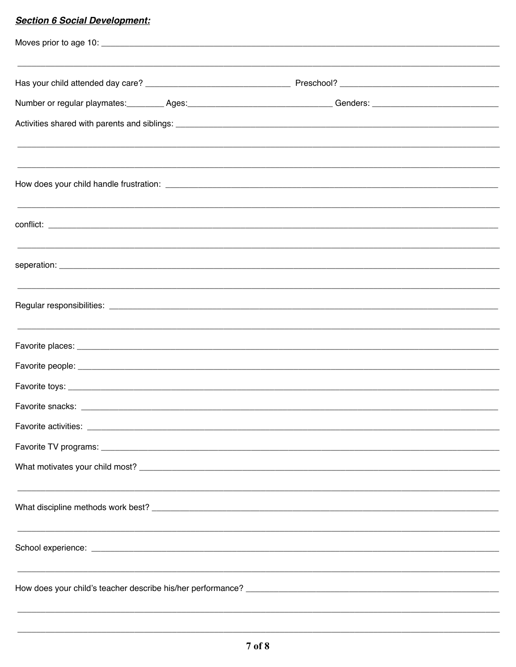# **Section 6 Social Development:**

| Number or regular playmates: _________ Ages: ___________________________________ Genders: ____________________ |  |
|----------------------------------------------------------------------------------------------------------------|--|
|                                                                                                                |  |
|                                                                                                                |  |
|                                                                                                                |  |
|                                                                                                                |  |
|                                                                                                                |  |
|                                                                                                                |  |
|                                                                                                                |  |
|                                                                                                                |  |
|                                                                                                                |  |
|                                                                                                                |  |
|                                                                                                                |  |
|                                                                                                                |  |
| ,我们就会在这里的,我们就会在这里的时候,我们就会在这里的时候,我们就会在这里的时候,我们就会在这里的时候,我们就会在这里的时候,我们就会在这里的时候,我们就会                               |  |
|                                                                                                                |  |
|                                                                                                                |  |